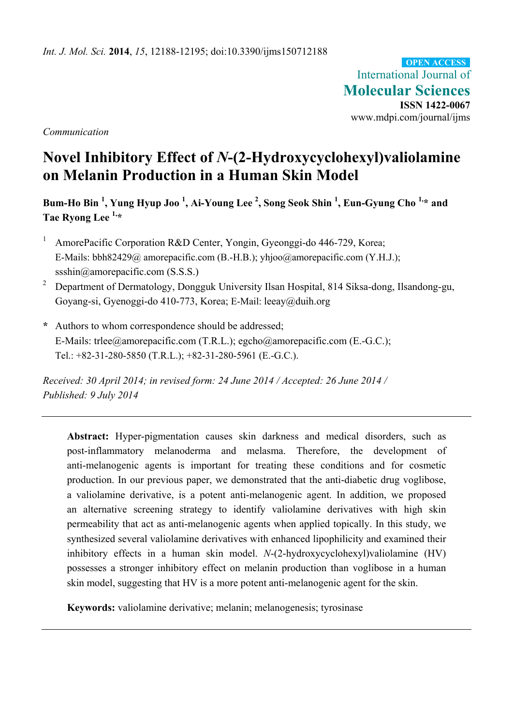International Journal of **Molecular Sciences ISSN 1422-0067**  www.mdpi.com/journal/ijms **OPEN ACCESS**

*Communication* 

# **Novel Inhibitory Effect of** *N***-(2-Hydroxycyclohexyl)valiolamine on Melanin Production in a Human Skin Model**

**Bum-Ho Bin <sup>1</sup> , Yung Hyup Joo <sup>1</sup> , Ai-Young Lee 2 , Song Seok Shin <sup>1</sup> , Eun-Gyung Cho 1,\* and Tae Ryong Lee 1,\*** 

- 1 AmorePacific Corporation R&D Center, Yongin, Gyeonggi-do 446-729, Korea; E-Mails: bbh82429@ amorepacific.com (B.-H.B.); yhjoo@amorepacific.com (Y.H.J.); ssshin@amorepacific.com (S.S.S.)
- 2 Department of Dermatology, Dongguk University Ilsan Hospital, 814 Siksa-dong, Ilsandong-gu, Goyang-si, Gyenoggi-do 410-773, Korea; E-Mail: leeay@duih.org
- **\*** Authors to whom correspondence should be addressed; E-Mails: trlee@amorepacific.com (T.R.L.); egcho@amorepacific.com (E.-G.C.); Tel.: +82-31-280-5850 (T.R.L.); +82-31-280-5961 (E.-G.C.).

*Received: 30 April 2014; in revised form: 24 June 2014 / Accepted: 26 June 2014 / Published: 9 July 2014* 

**Abstract:** Hyper-pigmentation causes skin darkness and medical disorders, such as post-inflammatory melanoderma and melasma. Therefore, the development of anti-melanogenic agents is important for treating these conditions and for cosmetic production. In our previous paper, we demonstrated that the anti-diabetic drug voglibose, a valiolamine derivative, is a potent anti-melanogenic agent. In addition, we proposed an alternative screening strategy to identify valiolamine derivatives with high skin permeability that act as anti-melanogenic agents when applied topically. In this study, we synthesized several valiolamine derivatives with enhanced lipophilicity and examined their inhibitory effects in a human skin model. *N*-(2-hydroxycyclohexyl)valiolamine (HV) possesses a stronger inhibitory effect on melanin production than voglibose in a human skin model, suggesting that HV is a more potent anti-melanogenic agent for the skin.

**Keywords:** valiolamine derivative; melanin; melanogenesis; tyrosinase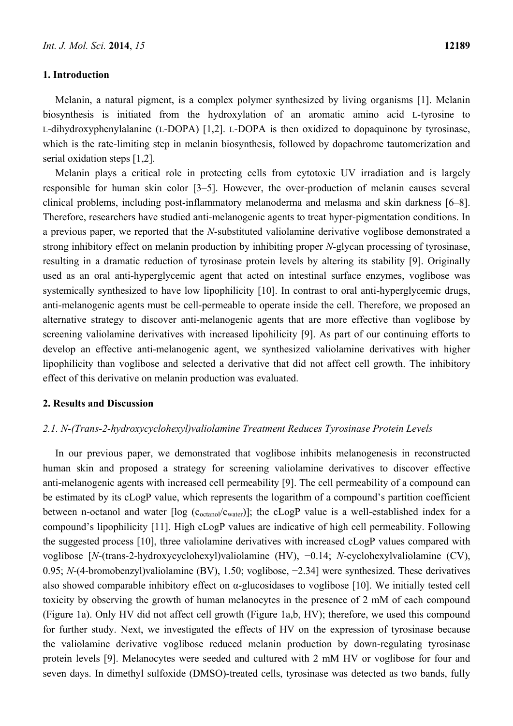#### **1. Introduction**

Melanin, a natural pigment, is a complex polymer synthesized by living organisms [1]. Melanin biosynthesis is initiated from the hydroxylation of an aromatic amino acid L-tyrosine to L-dihydroxyphenylalanine (L-DOPA) [1,2]. L-DOPA is then oxidized to dopaquinone by tyrosinase, which is the rate-limiting step in melanin biosynthesis, followed by dopachrome tautomerization and serial oxidation steps [1,2].

Melanin plays a critical role in protecting cells from cytotoxic UV irradiation and is largely responsible for human skin color [3–5]. However, the over-production of melanin causes several clinical problems, including post-inflammatory melanoderma and melasma and skin darkness [6–8]. Therefore, researchers have studied anti-melanogenic agents to treat hyper-pigmentation conditions. In a previous paper, we reported that the *N*-substituted valiolamine derivative voglibose demonstrated a strong inhibitory effect on melanin production by inhibiting proper *N*-glycan processing of tyrosinase, resulting in a dramatic reduction of tyrosinase protein levels by altering its stability [9]. Originally used as an oral anti-hyperglycemic agent that acted on intestinal surface enzymes, voglibose was systemically synthesized to have low lipophilicity [10]. In contrast to oral anti-hyperglycemic drugs, anti-melanogenic agents must be cell-permeable to operate inside the cell. Therefore, we proposed an alternative strategy to discover anti-melanogenic agents that are more effective than voglibose by screening valiolamine derivatives with increased lipohilicity [9]. As part of our continuing efforts to develop an effective anti-melanogenic agent, we synthesized valiolamine derivatives with higher lipophilicity than voglibose and selected a derivative that did not affect cell growth. The inhibitory effect of this derivative on melanin production was evaluated.

## **2. Results and Discussion**

#### *2.1. N-(Trans-2-hydroxycyclohexyl)valiolamine Treatment Reduces Tyrosinase Protein Levels*

In our previous paper, we demonstrated that voglibose inhibits melanogenesis in reconstructed human skin and proposed a strategy for screening valiolamine derivatives to discover effective anti-melanogenic agents with increased cell permeability [9]. The cell permeability of a compound can be estimated by its cLogP value, which represents the logarithm of a compound's partition coefficient between n-octanol and water  $\lceil \log (c_{octanol} / c_{water}) \rceil$ ; the cLogP value is a well-established index for a compound's lipophilicity [11]. High cLogP values are indicative of high cell permeability. Following the suggested process [10], three valiolamine derivatives with increased cLogP values compared with voglibose [*N*-(trans-2-hydroxycyclohexyl)valiolamine (HV), −0.14; *N*-cyclohexylvaliolamine (CV), 0.95; *N*-(4-bromobenzyl)valiolamine (BV), 1.50; voglibose, −2.34] were synthesized. These derivatives also showed comparable inhibitory effect on  $\alpha$ -glucosidases to voglibose [10]. We initially tested cell toxicity by observing the growth of human melanocytes in the presence of 2 mM of each compound (Figure 1a). Only HV did not affect cell growth (Figure 1a,b, HV); therefore, we used this compound for further study. Next, we investigated the effects of HV on the expression of tyrosinase because the valiolamine derivative voglibose reduced melanin production by down-regulating tyrosinase protein levels [9]. Melanocytes were seeded and cultured with 2 mM HV or voglibose for four and seven days. In dimethyl sulfoxide (DMSO)-treated cells, tyrosinase was detected as two bands, fully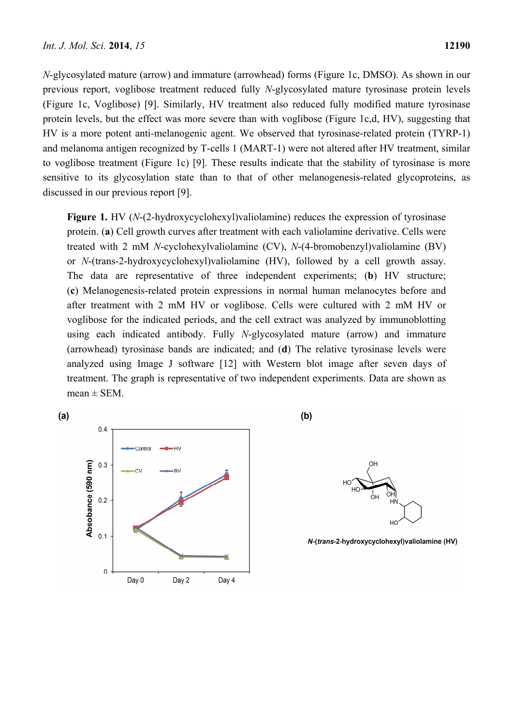$(a)$ 

*N*-glycosylated mature (arrow) and immature (arrowhead) forms (Figure 1c, DMSO). As shown in our previous report, voglibose treatment reduced fully *N*-glycosylated mature tyrosinase protein levels (Figure 1c, Voglibose) [9]. Similarly, HV treatment also reduced fully modified mature tyrosinase protein levels, but the effect was more severe than with voglibose (Figure 1c,d, HV), suggesting that HV is a more potent anti-melanogenic agent. We observed that tyrosinase-related protein (TYRP-1) and melanoma antigen recognized by T-cells 1 (MART-1) were not altered after HV treatment, similar to voglibose treatment (Figure 1c) [9]. These results indicate that the stability of tyrosinase is more sensitive to its glycosylation state than to that of other melanogenesis-related glycoproteins, as discussed in our previous report [9].

**Figure 1.** HV (*N*-(2-hydroxycyclohexyl)valiolamine) reduces the expression of tyrosinase protein. (**a**) Cell growth curves after treatment with each valiolamine derivative. Cells were treated with 2 mM *N*-cyclohexylvaliolamine (CV), *N*-(4-bromobenzyl)valiolamine (BV) or *N*-(trans-2-hydroxycyclohexyl)valiolamine (HV), followed by a cell growth assay. The data are representative of three independent experiments; (**b**) HV structure; (**c**) Melanogenesis-related protein expressions in normal human melanocytes before and after treatment with 2 mM HV or voglibose. Cells were cultured with 2 mM HV or voglibose for the indicated periods, and the cell extract was analyzed by immunoblotting using each indicated antibody. Fully *N*-glycosylated mature (arrow) and immature (arrowhead) tyrosinase bands are indicated; and (**d**) The relative tyrosinase levels were analyzed using Image J software [12] with Western blot image after seven days of treatment. The graph is representative of two independent experiments. Data are shown as  $mean \pm SEM$ .



 $(b)$ 



N-(trans-2-hydroxycyclohexyl)valiolamine (HV)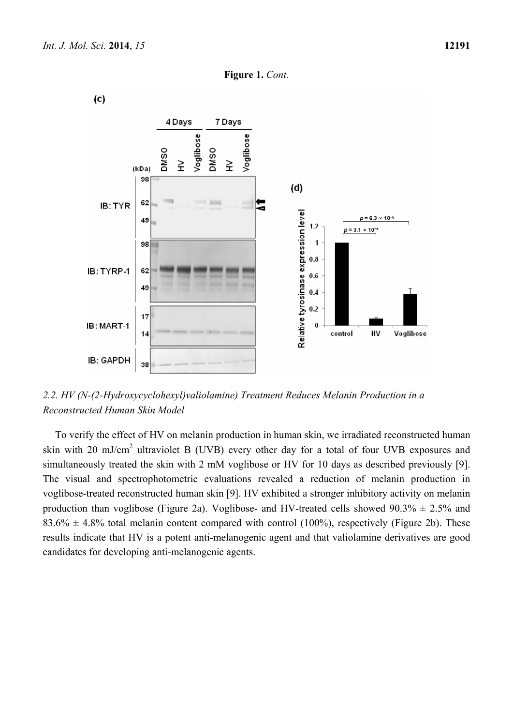





*2.2. HV (N-(2-Hydroxycyclohexyl)valiolamine) Treatment Reduces Melanin Production in a Reconstructed Human Skin Model* 

To verify the effect of HV on melanin production in human skin, we irradiated reconstructed human skin with 20 mJ/cm<sup>2</sup> ultraviolet B (UVB) every other day for a total of four UVB exposures and simultaneously treated the skin with 2 mM voglibose or HV for 10 days as described previously [9]. The visual and spectrophotometric evaluations revealed a reduction of melanin production in voglibose-treated reconstructed human skin [9]. HV exhibited a stronger inhibitory activity on melanin production than voglibose (Figure 2a). Voglibose- and HV-treated cells showed  $90.3\% \pm 2.5\%$  and  $83.6\% \pm 4.8\%$  total melanin content compared with control (100%), respectively (Figure 2b). These results indicate that HV is a potent anti-melanogenic agent and that valiolamine derivatives are good candidates for developing anti-melanogenic agents.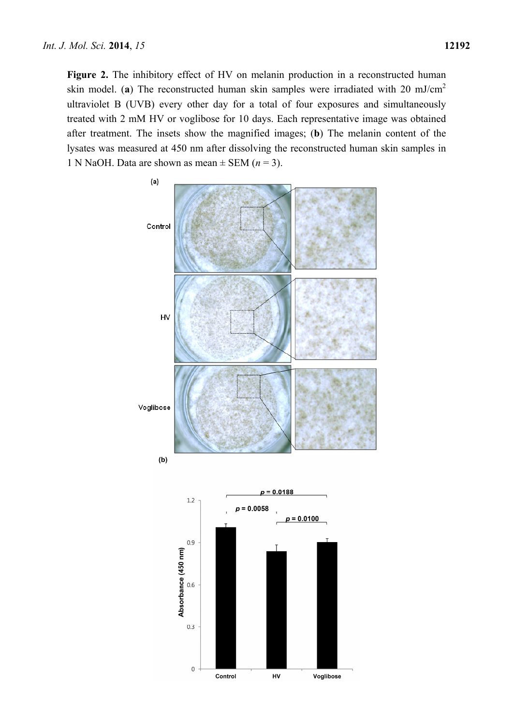**Figure 2.** The inhibitory effect of HV on melanin production in a reconstructed human skin model. (**a**) The reconstructed human skin samples were irradiated with 20 mJ/cm2 ultraviolet B (UVB) every other day for a total of four exposures and simultaneously treated with 2 mM HV or voglibose for 10 days. Each representative image was obtained after treatment. The insets show the magnified images; (**b**) The melanin content of the lysates was measured at 450 nm after dissolving the reconstructed human skin samples in 1 N NaOH. Data are shown as mean  $\pm$  SEM ( $n = 3$ ).



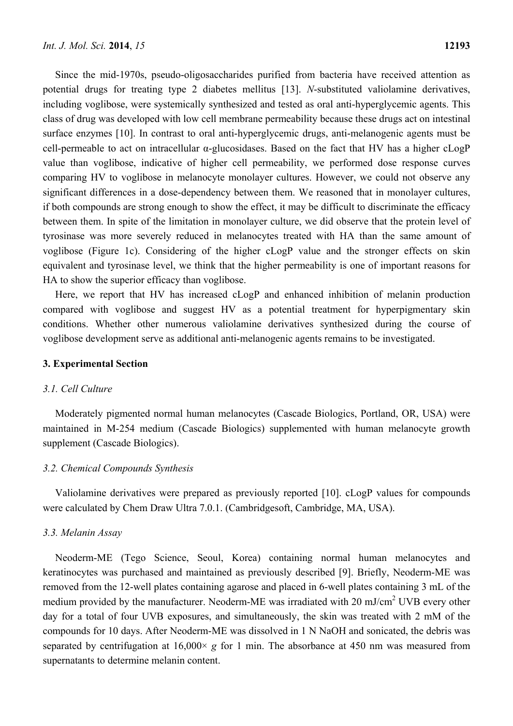Since the mid-1970s, pseudo-oligosaccharides purified from bacteria have received attention as potential drugs for treating type 2 diabetes mellitus [13]. *N*-substituted valiolamine derivatives, including voglibose, were systemically synthesized and tested as oral anti-hyperglycemic agents. This class of drug was developed with low cell membrane permeability because these drugs act on intestinal surface enzymes [10]. In contrast to oral anti-hyperglycemic drugs, anti-melanogenic agents must be cell-permeable to act on intracellular α-glucosidases. Based on the fact that HV has a higher cLogP value than voglibose, indicative of higher cell permeability, we performed dose response curves comparing HV to voglibose in melanocyte monolayer cultures. However, we could not observe any significant differences in a dose-dependency between them. We reasoned that in monolayer cultures, if both compounds are strong enough to show the effect, it may be difficult to discriminate the efficacy between them. In spite of the limitation in monolayer culture, we did observe that the protein level of tyrosinase was more severely reduced in melanocytes treated with HA than the same amount of voglibose (Figure 1c). Considering of the higher cLogP value and the stronger effects on skin equivalent and tyrosinase level, we think that the higher permeability is one of important reasons for HA to show the superior efficacy than voglibose.

Here, we report that HV has increased cLogP and enhanced inhibition of melanin production compared with voglibose and suggest HV as a potential treatment for hyperpigmentary skin conditions. Whether other numerous valiolamine derivatives synthesized during the course of voglibose development serve as additional anti-melanogenic agents remains to be investigated.

# **3. Experimental Section**

#### *3.1. Cell Culture*

Moderately pigmented normal human melanocytes (Cascade Biologics, Portland, OR, USA) were maintained in M-254 medium (Cascade Biologics) supplemented with human melanocyte growth supplement (Cascade Biologics).

## *3.2. Chemical Compounds Synthesis*

Valiolamine derivatives were prepared as previously reported [10]. cLogP values for compounds were calculated by Chem Draw Ultra 7.0.1. (Cambridgesoft, Cambridge, MA, USA).

#### *3.3. Melanin Assay*

Neoderm-ME (Tego Science, Seoul, Korea) containing normal human melanocytes and keratinocytes was purchased and maintained as previously described [9]. Briefly, Neoderm-ME was removed from the 12-well plates containing agarose and placed in 6-well plates containing 3 mL of the medium provided by the manufacturer. Neoderm-ME was irradiated with 20 mJ/cm<sup>2</sup> UVB every other day for a total of four UVB exposures, and simultaneously, the skin was treated with 2 mM of the compounds for 10 days. After Neoderm-ME was dissolved in 1 N NaOH and sonicated, the debris was separated by centrifugation at  $16,000 \times g$  for 1 min. The absorbance at 450 nm was measured from supernatants to determine melanin content.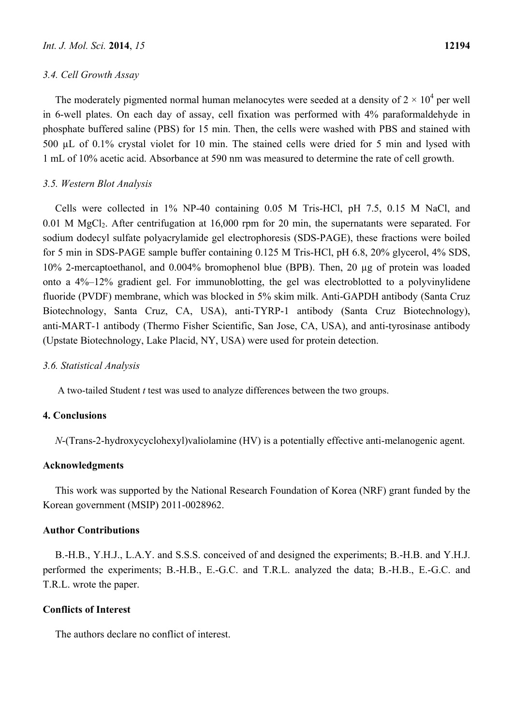#### *3.4. Cell Growth Assay*

The moderately pigmented normal human melanocytes were seeded at a density of  $2 \times 10^4$  per well in 6-well plates. On each day of assay, cell fixation was performed with 4% paraformaldehyde in phosphate buffered saline (PBS) for 15 min. Then, the cells were washed with PBS and stained with 500 µL of 0.1% crystal violet for 10 min. The stained cells were dried for 5 min and lysed with 1 mL of 10% acetic acid. Absorbance at 590 nm was measured to determine the rate of cell growth.

## *3.5. Western Blot Analysis*

Cells were collected in 1% NP-40 containing 0.05 M Tris-HCl, pH 7.5, 0.15 M NaCl, and 0.01 M MgCl<sub>2</sub>. After centrifugation at 16,000 rpm for 20 min, the supernatants were separated. For sodium dodecyl sulfate polyacrylamide gel electrophoresis (SDS-PAGE), these fractions were boiled for 5 min in SDS-PAGE sample buffer containing 0.125 M Tris-HCl, pH 6.8, 20% glycerol, 4% SDS, 10% 2-mercaptoethanol, and 0.004% bromophenol blue (BPB). Then, 20 µg of protein was loaded onto a 4%–12% gradient gel. For immunoblotting, the gel was electroblotted to a polyvinylidene fluoride (PVDF) membrane, which was blocked in 5% skim milk. Anti-GAPDH antibody (Santa Cruz Biotechnology, Santa Cruz, CA, USA), anti-TYRP-1 antibody (Santa Cruz Biotechnology), anti-MART-1 antibody (Thermo Fisher Scientific, San Jose, CA, USA), and anti-tyrosinase antibody (Upstate Biotechnology, Lake Placid, NY, USA) were used for protein detection.

#### *3.6. Statistical Analysis*

A two-tailed Student *t* test was used to analyze differences between the two groups.

## **4. Conclusions**

*N*-(Trans-2-hydroxycyclohexyl)valiolamine (HV) is a potentially effective anti-melanogenic agent.

#### **Acknowledgments**

This work was supported by the National Research Foundation of Korea (NRF) grant funded by the Korean government (MSIP) 2011-0028962.

#### **Author Contributions**

B.-H.B., Y.H.J., L.A.Y. and S.S.S. conceived of and designed the experiments; B.-H.B. and Y.H.J. performed the experiments; B.-H.B., E.-G.C. and T.R.L. analyzed the data; B.-H.B., E.-G.C. and T.R.L. wrote the paper.

#### **Conflicts of Interest**

The authors declare no conflict of interest.